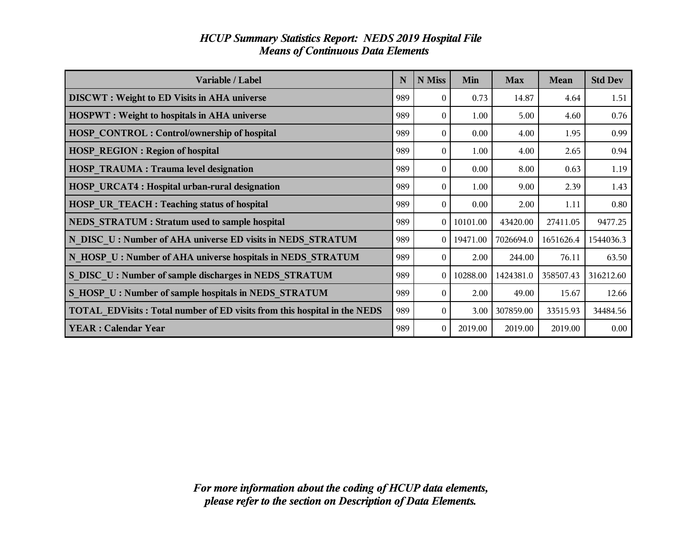| Variable / Label                                                         | N   | N Miss           | Min            | <b>Max</b> | Mean      | <b>Std Dev</b> |
|--------------------------------------------------------------------------|-----|------------------|----------------|------------|-----------|----------------|
| <b>DISCWT</b> : Weight to ED Visits in AHA universe                      | 989 | $\theta$         | 0.73           | 14.87      | 4.64      | 1.51           |
| <b>HOSPWT</b> : Weight to hospitals in AHA universe                      | 989 | $\theta$         | 1.00           | 5.00       | 4.60      | 0.76           |
| <b>HOSP CONTROL: Control/ownership of hospital</b>                       | 989 | $\Omega$         | 0.00           | 4.00       | 1.95      | 0.99           |
| <b>HOSP REGION: Region of hospital</b>                                   | 989 | $\Omega$         | 1.00           | 4.00       | 2.65      | 0.94           |
| <b>HOSP TRAUMA: Trauma level designation</b>                             | 989 | $\Omega$         | 0.00           | 8.00       | 0.63      | 1.19           |
| <b>HOSP URCAT4: Hospital urban-rural designation</b>                     | 989 | $\Omega$         | 1.00           | 9.00       | 2.39      | 1.43           |
| <b>HOSP UR TEACH: Teaching status of hospital</b>                        | 989 | 0                | 0.00           | 2.00       | 1.11      | $0.80\,$       |
| NEDS STRATUM : Stratum used to sample hospital                           | 989 |                  | $0$   10101.00 | 43420.00   | 27411.05  | 9477.25        |
| N DISC U: Number of AHA universe ED visits in NEDS STRATUM               | 989 |                  | 0 19471.00     | 7026694.0  | 1651626.4 | 1544036.3      |
| N HOSP U: Number of AHA universe hospitals in NEDS STRATUM               | 989 | $\theta$         | 2.00           | 244.00     | 76.11     | 63.50          |
| S DISC U: Number of sample discharges in NEDS STRATUM                    | 989 |                  | $0$   10288.00 | 1424381.0  | 358507.43 | 316212.60      |
| S HOSP U: Number of sample hospitals in NEDS STRATUM                     | 989 | $\Omega$         | 2.00           | 49.00      | 15.67     | 12.66          |
| TOTAL EDVisits: Total number of ED visits from this hospital in the NEDS | 989 | $\mathbf{0}$     | 3.00           | 307859.00  | 33515.93  | 34484.56       |
| <b>YEAR: Calendar Year</b>                                               | 989 | $\boldsymbol{0}$ | 2019.00        | 2019.00    | 2019.00   | 0.00           |

# *HCUP Summary Statistics Report: NEDS 2019 Hospital File Means of Continuous Data Elements*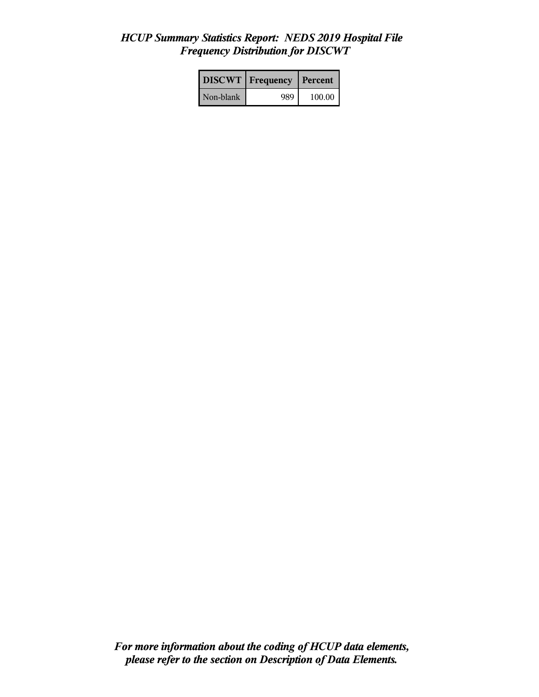# *HCUP Summary Statistics Report: NEDS 2019 Hospital File Frequency Distribution for DISCWT*

|           | <b>DISCWT</b>   Frequency | Percent |
|-----------|---------------------------|---------|
| Non-blank | 989                       | 100.00  |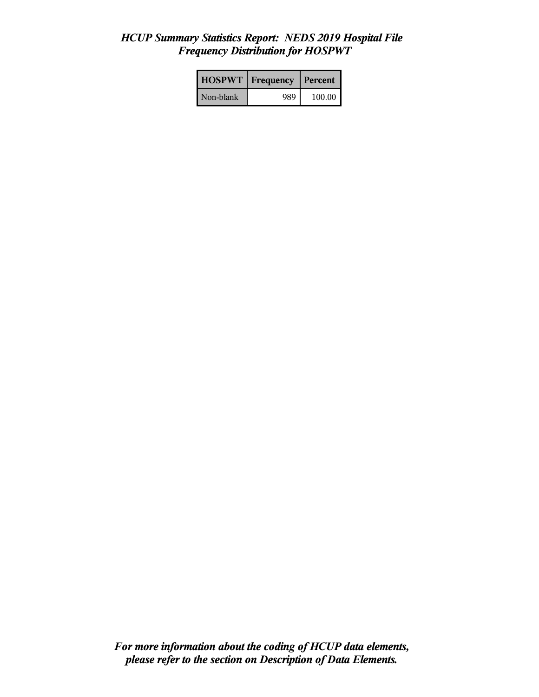# *HCUP Summary Statistics Report: NEDS 2019 Hospital File Frequency Distribution for HOSPWT*

| <b>HOSPWT</b>   Frequency |     | l Percent |
|---------------------------|-----|-----------|
| Non-blank                 | 989 | 100.00    |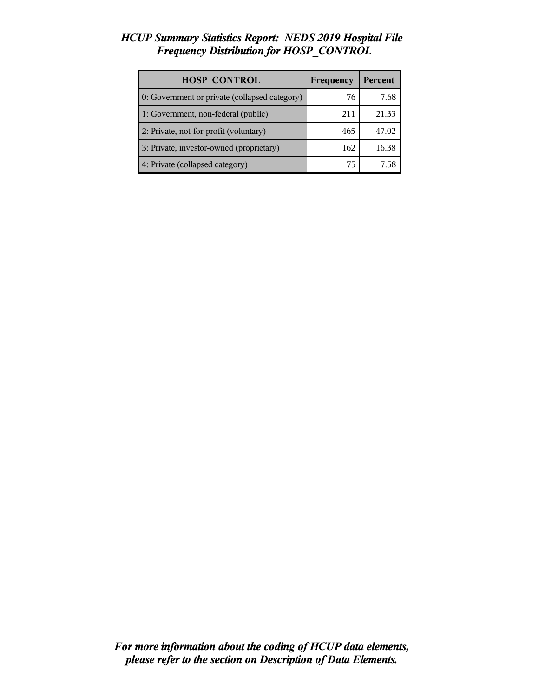## *HCUP Summary Statistics Report: NEDS 2019 Hospital File Frequency Distribution for HOSP\_CONTROL*

| <b>HOSP CONTROL</b>                           | Frequency | Percent |
|-----------------------------------------------|-----------|---------|
| 0: Government or private (collapsed category) | 76        | 7.68    |
| 1: Government, non-federal (public)           | 211       | 21.33   |
| 2: Private, not-for-profit (voluntary)        | 465       | 47.02   |
| 3: Private, investor-owned (proprietary)      | 162       | 16.38   |
| 4: Private (collapsed category)               | 75        | 758     |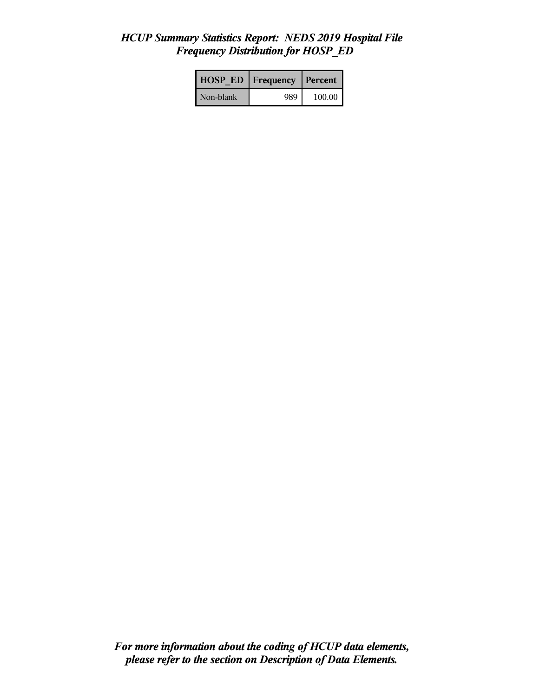## *HCUP Summary Statistics Report: NEDS 2019 Hospital File Frequency Distribution for HOSP\_ED*

| <b>HOSP ED</b> | <b>Frequency</b> | Percent |
|----------------|------------------|---------|
| Non-blank      | 989              | 100.00  |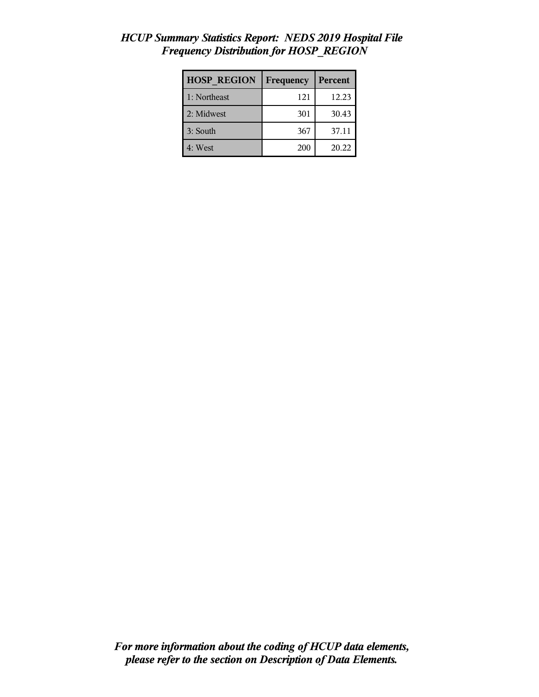| <b>HOSP REGION</b> | Frequency | Percent |
|--------------------|-----------|---------|
| 1: Northeast       | 121       | 12.23   |
| 2: Midwest         | 301       | 30.43   |
| 3: South           | 367       | 37.11   |
| 4: West            | 200       | 20.22   |

# *HCUP Summary Statistics Report: NEDS 2019 Hospital File Frequency Distribution for HOSP\_REGION*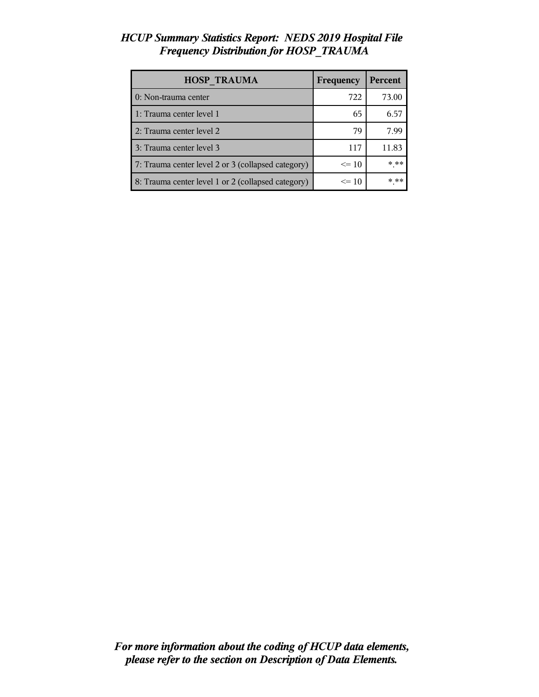# *HCUP Summary Statistics Report: NEDS 2019 Hospital File Frequency Distribution for HOSP\_TRAUMA*

| <b>HOSP TRAUMA</b>                                 | Frequency | <b>Percent</b> |
|----------------------------------------------------|-----------|----------------|
| 0: Non-trauma center                               | 722       | 73.00          |
| 1: Trauma center level 1                           | 65        | 6.57           |
| 2: Trauma center level 2                           | 79        | 7.99           |
| 3: Trauma center level 3                           | 117       | 11.83          |
| 7: Trauma center level 2 or 3 (collapsed category) | $\leq$ 10 | * **           |
| 8: Trauma center level 1 or 2 (collapsed category) | $\leq$ 10 | * **           |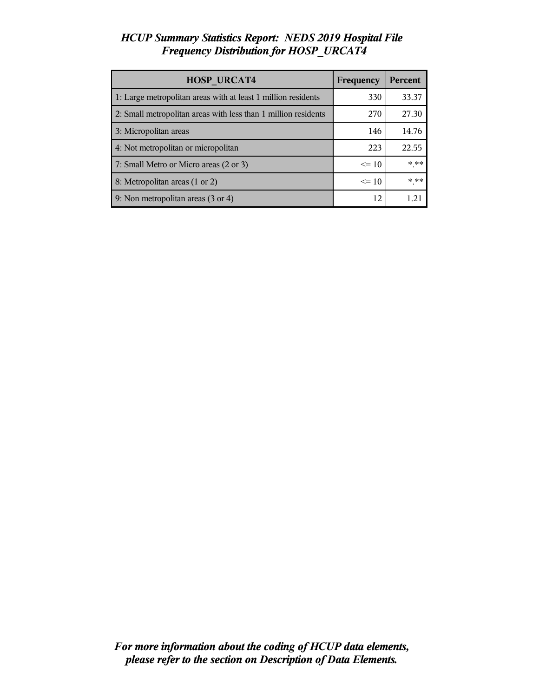# *HCUP Summary Statistics Report: NEDS 2019 Hospital File Frequency Distribution for HOSP\_URCAT4*

| <b>HOSP URCAT4</b>                                             | Frequency | Percent |
|----------------------------------------------------------------|-----------|---------|
| 1: Large metropolitan areas with at least 1 million residents  | 330       | 33.37   |
| 2: Small metropolitan areas with less than 1 million residents | 270       | 27.30   |
| 3: Micropolitan areas                                          | 146       | 14.76   |
| 4: Not metropolitan or micropolitan                            | 223       | 22.55   |
| 7: Small Metro or Micro areas (2 or 3)                         | $\leq 10$ | $***$   |
| 8: Metropolitan areas (1 or 2)                                 | $\leq$ 10 | * **    |
| 9: Non metropolitan areas (3 or 4)                             | 12        |         |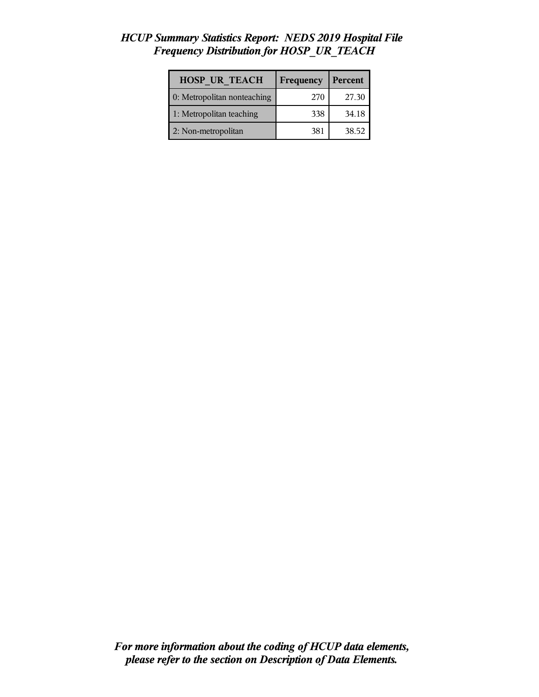# *HCUP Summary Statistics Report: NEDS 2019 Hospital File Frequency Distribution for HOSP\_UR\_TEACH*

| <b>HOSP UR TEACH</b>        | Frequency | Percent |
|-----------------------------|-----------|---------|
| 0: Metropolitan nonteaching | 270       | 27.30   |
| 1: Metropolitan teaching    | 338       | 34.18   |
| 2: Non-metropolitan         | 381       | 38.52   |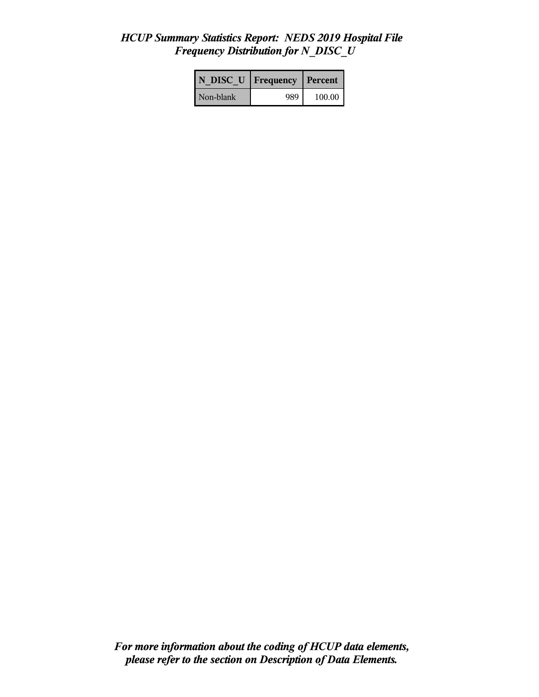## *HCUP Summary Statistics Report: NEDS 2019 Hospital File Frequency Distribution for N\_DISC\_U*

| N DISC U   Frequency |     | l Percent |
|----------------------|-----|-----------|
| Non-blank            | 989 | 100.00    |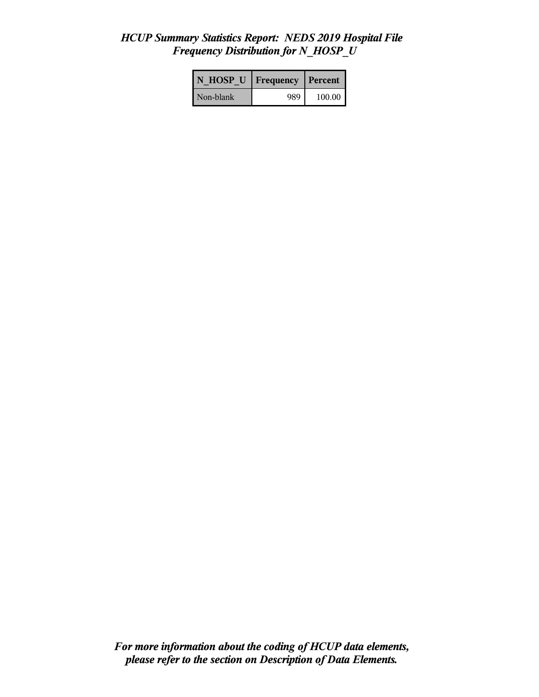# *HCUP Summary Statistics Report: NEDS 2019 Hospital File Frequency Distribution for N\_HOSP\_U*

| N HOSP U   Frequency |     | Percent |
|----------------------|-----|---------|
| Non-blank            | 989 | 100.00  |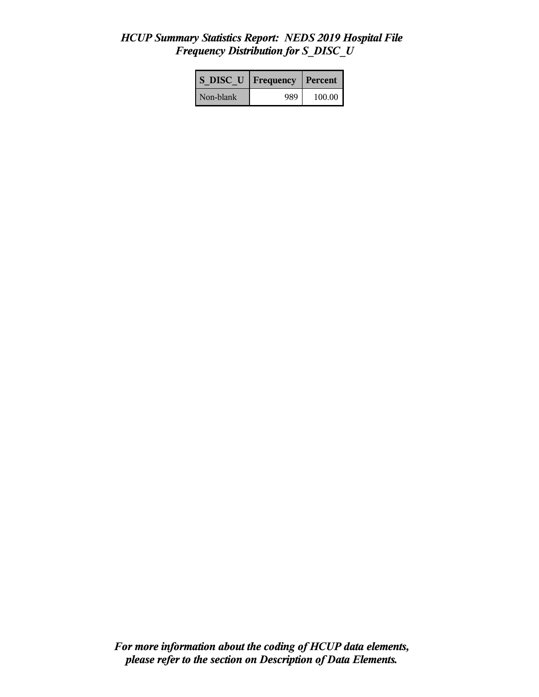# *HCUP Summary Statistics Report: NEDS 2019 Hospital File Frequency Distribution for S\_DISC\_U*

| S DISC U Frequency |     | Percent |
|--------------------|-----|---------|
| Non-blank          | 989 | 100.00  |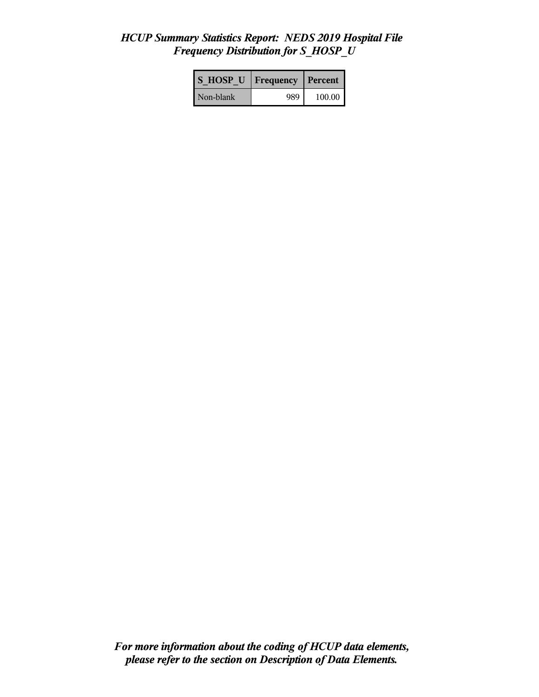# *HCUP Summary Statistics Report: NEDS 2019 Hospital File Frequency Distribution for S\_HOSP\_U*

| <b>S HOSP U</b> | Frequency | Percent |
|-----------------|-----------|---------|
| Non-blank       | 989       | 100.00  |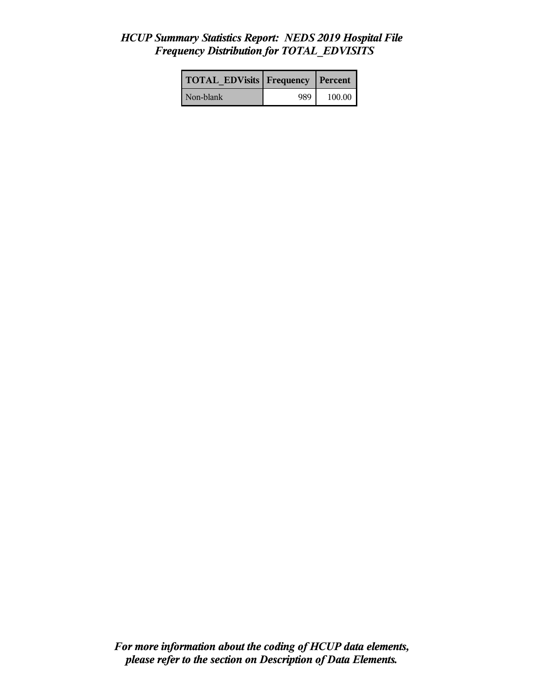## *HCUP Summary Statistics Report: NEDS 2019 Hospital File Frequency Distribution for TOTAL\_EDVISITS*

| <b>TOTAL EDVisits Frequency Percent</b> |     |        |
|-----------------------------------------|-----|--------|
| Non-blank                               | 989 | 100.00 |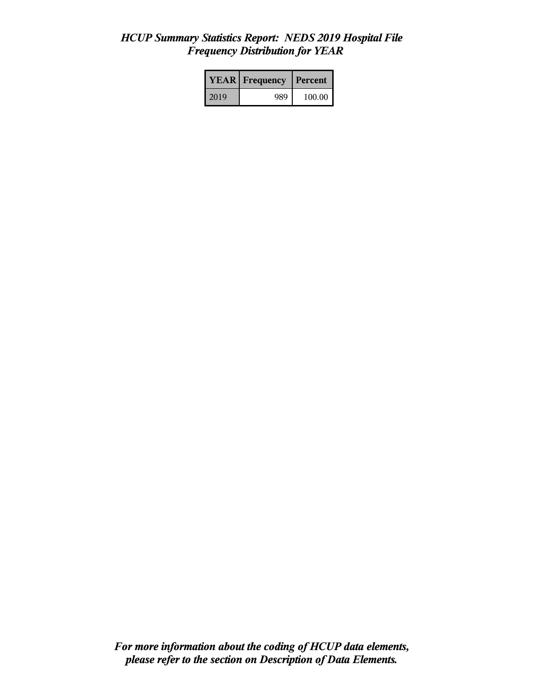# *HCUP Summary Statistics Report: NEDS 2019 Hospital File Frequency Distribution for YEAR*

|      | <b>YEAR</b> Frequency | <b>Percent</b> |  |
|------|-----------------------|----------------|--|
| 2019 | 989                   | 100.00         |  |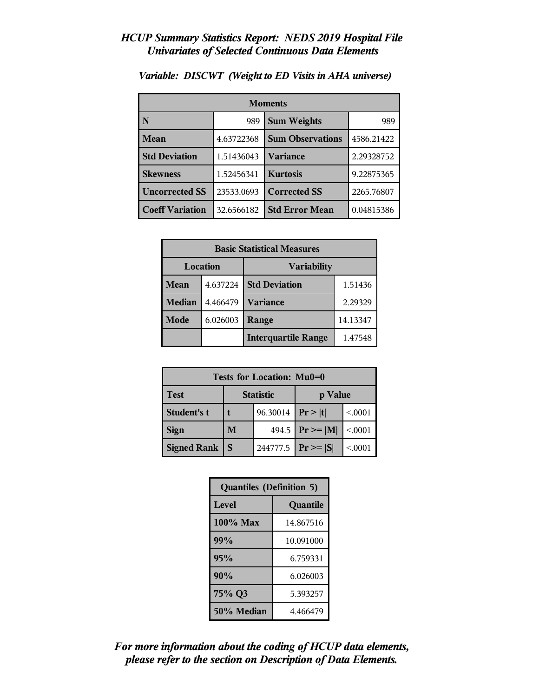| <b>Moments</b>         |                           |                         |            |
|------------------------|---------------------------|-------------------------|------------|
| N                      | <b>Sum Weights</b><br>989 |                         | 989        |
| <b>Mean</b>            | 4.63722368                | <b>Sum Observations</b> | 4586.21422 |
| <b>Std Deviation</b>   | 1.51436043                | Variance                | 2.29328752 |
| <b>Skewness</b>        | 1.52456341                | <b>Kurtosis</b>         | 9.22875365 |
| <b>Uncorrected SS</b>  | 23533.0693                | <b>Corrected SS</b>     | 2265.76807 |
| <b>Coeff Variation</b> | 32.6566182                | <b>Std Error Mean</b>   | 0.04815386 |

*Variable: DISCWT (Weight to ED Visits in AHA universe)*

| <b>Basic Statistical Measures</b> |          |                            |          |
|-----------------------------------|----------|----------------------------|----------|
| Location                          |          | <b>Variability</b>         |          |
| Mean                              | 4.637224 | <b>Std Deviation</b>       | 1.51436  |
| <b>Median</b>                     | 4.466479 | <b>Variance</b>            | 2.29329  |
| Mode                              | 6.026003 | Range                      | 14.13347 |
|                                   |          | <b>Interquartile Range</b> | 1.47548  |

| Tests for Location: Mu0=0 |                             |          |                      |         |
|---------------------------|-----------------------------|----------|----------------------|---------|
| <b>Test</b>               | <b>Statistic</b><br>p Value |          |                      |         |
| Student's t               | 96.30014                    |          | Pr> t                | < 0.001 |
| <b>Sign</b>               | M                           |          | 494.5   $Pr \ge  M $ | < 0.001 |
| <b>Signed Rank</b>        | S                           | 244777.5 | $ Pr \ge  S $        | < 0.001 |

| <b>Quantiles (Definition 5)</b> |           |  |
|---------------------------------|-----------|--|
| <b>Level</b>                    | Quantile  |  |
| 100% Max                        | 14.867516 |  |
| 99%                             | 10.091000 |  |
| 95%                             | 6.759331  |  |
| 90%                             | 6.026003  |  |
| 75% Q3<br>5.393257              |           |  |
| 50% Median<br>4.466479          |           |  |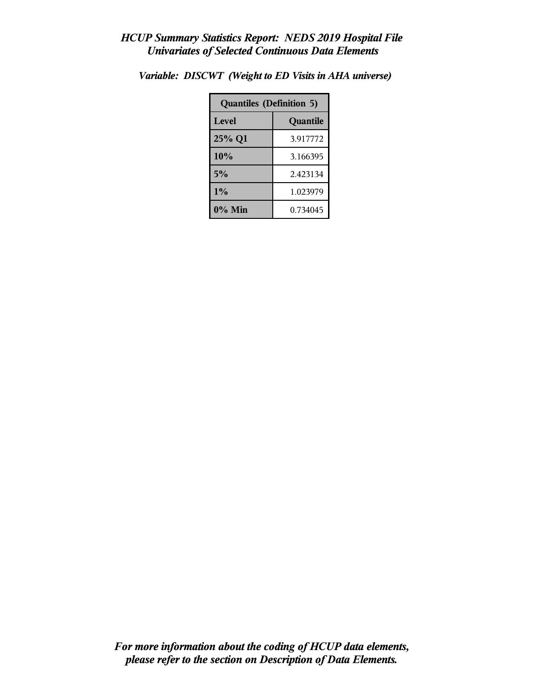| <b>Quantiles (Definition 5)</b> |          |  |
|---------------------------------|----------|--|
| <b>Level</b>                    | Quantile |  |
| 25% Q1                          | 3.917772 |  |
| 10%                             | 3.166395 |  |
| 5%                              | 2.423134 |  |
| $1\%$<br>1.023979               |          |  |
| $0\%$ Min                       | 0.734045 |  |

*Variable: DISCWT (Weight to ED Visits in AHA universe)*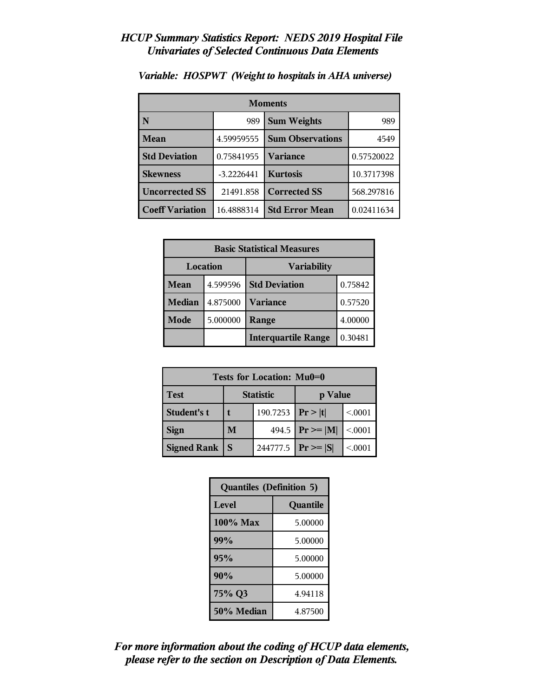| <b>Moments</b>         |                           |                         |            |
|------------------------|---------------------------|-------------------------|------------|
| N                      | <b>Sum Weights</b><br>989 |                         | 989        |
| Mean                   | 4.59959555                | <b>Sum Observations</b> | 4549       |
| <b>Std Deviation</b>   | 0.75841955                | <b>Variance</b>         | 0.57520022 |
| <b>Skewness</b>        | $-3.2226441$              | <b>Kurtosis</b>         | 10.3717398 |
| <b>Uncorrected SS</b>  | 21491.858                 | <b>Corrected SS</b>     | 568.297816 |
| <b>Coeff Variation</b> | 16.4888314                | <b>Std Error Mean</b>   | 0.02411634 |

## *Variable: HOSPWT (Weight to hospitals in AHA universe)*

| <b>Basic Statistical Measures</b> |          |                            |         |
|-----------------------------------|----------|----------------------------|---------|
| Location                          |          | <b>Variability</b>         |         |
| Mean                              | 4.599596 | <b>Std Deviation</b>       | 0.75842 |
| <b>Median</b>                     | 4.875000 | <b>Variance</b>            | 0.57520 |
| Mode                              | 5.000000 | Range                      | 4.00000 |
|                                   |          | <b>Interquartile Range</b> | 0.30481 |

| Tests for Location: Mu0=0 |                             |          |                    |         |
|---------------------------|-----------------------------|----------|--------------------|---------|
| <b>Test</b>               | <b>Statistic</b><br>p Value |          |                    |         |
| <b>Student's t</b>        | 190.7253   $Pr >  t $       |          |                    | < 0.001 |
| <b>Sign</b>               | M                           |          | 494.5 $Pr \ge  M $ | < 0001  |
| <b>Signed Rank</b>        | <sub>S</sub>                | 244777.5 | $ Pr \ge =  S $    | < 0001  |

| <b>Quantiles (Definition 5)</b> |          |  |
|---------------------------------|----------|--|
| Level                           | Quantile |  |
| $100\%$ Max                     | 5.00000  |  |
| 99%                             | 5.00000  |  |
| 95%                             | 5.00000  |  |
| 90%                             | 5.00000  |  |
| 75% Q3<br>4.94118               |          |  |
| 50% Median<br>4.87500           |          |  |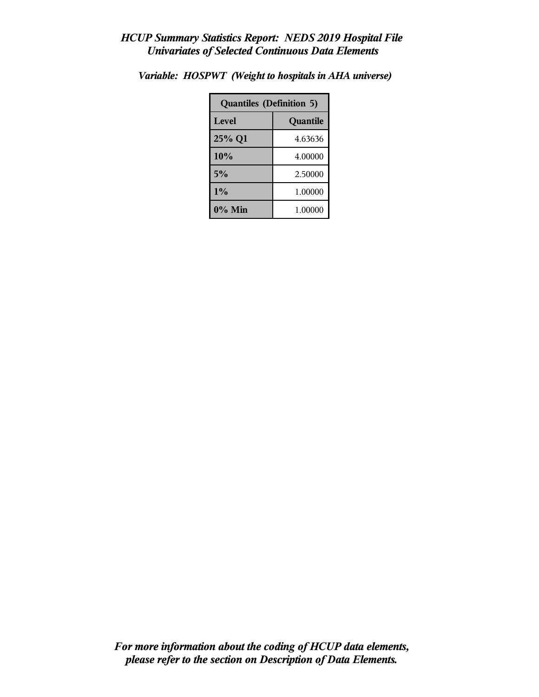| <b>Quantiles (Definition 5)</b> |         |  |  |
|---------------------------------|---------|--|--|
| Level<br>Quantile               |         |  |  |
| 25% Q1                          | 4.63636 |  |  |
| 10%                             | 4.00000 |  |  |
| 5%                              | 2.50000 |  |  |
| $1\%$<br>1.00000                |         |  |  |
| $0\%$ Min<br>1.00000            |         |  |  |

*Variable: HOSPWT (Weight to hospitals in AHA universe)*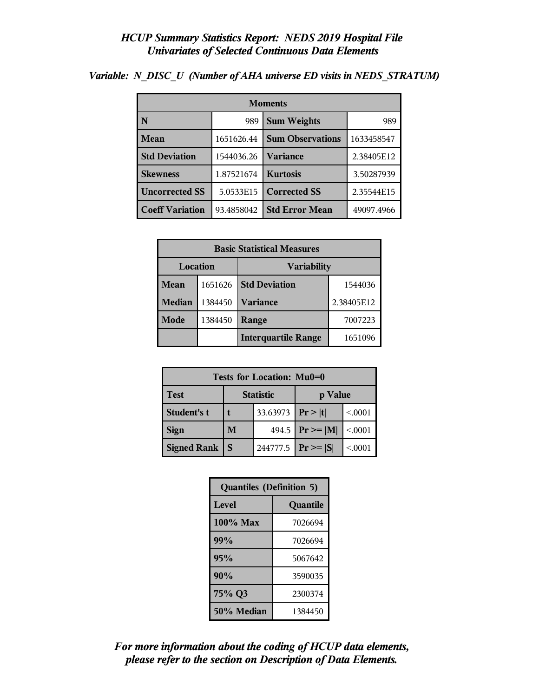| <b>Moments</b>         |            |                         |            |  |
|------------------------|------------|-------------------------|------------|--|
| N                      | 989        | <b>Sum Weights</b>      | 989        |  |
| <b>Mean</b>            | 1651626.44 | <b>Sum Observations</b> | 1633458547 |  |
| <b>Std Deviation</b>   | 1544036.26 | <b>Variance</b>         | 2.38405E12 |  |
| <b>Skewness</b>        | 1.87521674 | <b>Kurtosis</b>         | 3.50287939 |  |
| <b>Uncorrected SS</b>  | 5.0533E15  | <b>Corrected SS</b>     | 2.35544E15 |  |
| <b>Coeff Variation</b> | 93.4858042 | <b>Std Error Mean</b>   | 49097.4966 |  |

*Variable: N\_DISC\_U (Number of AHA universe ED visits in NEDS\_STRATUM)*

| <b>Basic Statistical Measures</b> |         |                            |            |  |
|-----------------------------------|---------|----------------------------|------------|--|
| Location<br><b>Variability</b>    |         |                            |            |  |
| Mean                              | 1651626 | <b>Std Deviation</b>       | 1544036    |  |
| <b>Median</b>                     | 1384450 | <b>Variance</b>            | 2.38405E12 |  |
| Mode                              | 1384450 | Range                      | 7007223    |  |
|                                   |         | <b>Interquartile Range</b> | 1651096    |  |

| Tests for Location: Mu0=0 |                             |                       |                     |          |  |
|---------------------------|-----------------------------|-----------------------|---------------------|----------|--|
| <b>Test</b>               | <b>Statistic</b><br>p Value |                       |                     |          |  |
| <b>Student's t</b>        |                             | 33.63973   $Pr >  t $ |                     | < 0.001  |  |
| <b>Sign</b>               | M                           |                       | 494.5 $ Pr \ge  M $ | < .0001  |  |
| <b>Signed Rank</b>        | S                           | 244777.5              | $ Pr \ge  S $       | < 0.0001 |  |

| <b>Quantiles (Definition 5)</b> |          |  |  |
|---------------------------------|----------|--|--|
| <b>Level</b>                    | Quantile |  |  |
| 100% Max                        | 7026694  |  |  |
| 99%                             | 7026694  |  |  |
| 95%                             | 5067642  |  |  |
| 90%                             | 3590035  |  |  |
| 75% Q3<br>2300374               |          |  |  |
| 50% Median<br>1384450           |          |  |  |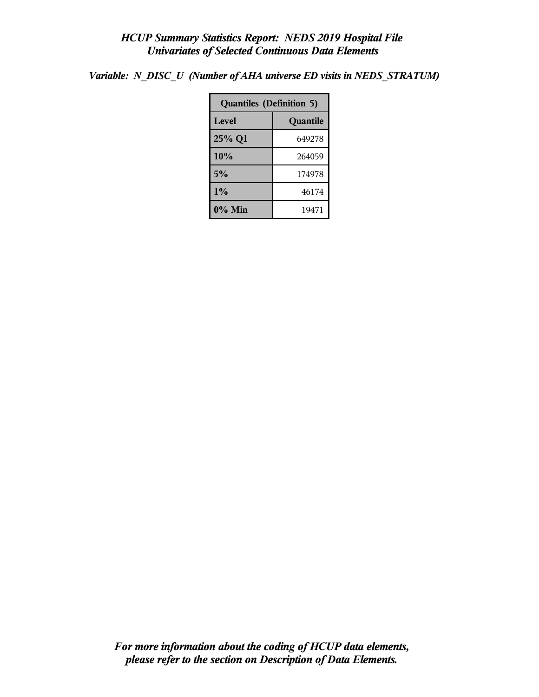*Variable: N\_DISC\_U (Number of AHA universe ED visits in NEDS\_STRATUM)*

| <b>Quantiles (Definition 5)</b> |          |  |  |
|---------------------------------|----------|--|--|
| <b>Level</b>                    | Quantile |  |  |
| 25% Q1                          | 649278   |  |  |
| 10%                             | 264059   |  |  |
| 5%                              | 174978   |  |  |
| 1%<br>46174                     |          |  |  |
| $0\%$ Min                       | 19471    |  |  |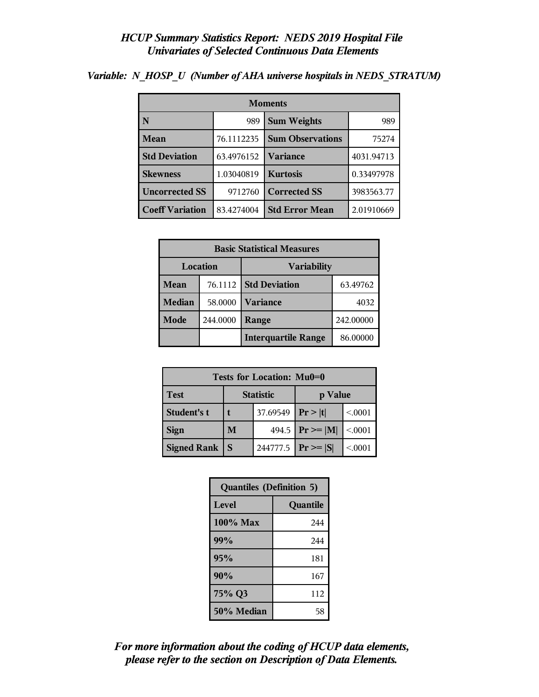| <b>Moments</b>         |            |                         |            |
|------------------------|------------|-------------------------|------------|
| N                      | 989        | <b>Sum Weights</b>      | 989        |
| <b>Mean</b>            | 76.1112235 | <b>Sum Observations</b> | 75274      |
| <b>Std Deviation</b>   | 63.4976152 | Variance                | 4031.94713 |
| <b>Skewness</b>        | 1.03040819 | <b>Kurtosis</b>         | 0.33497978 |
| <b>Uncorrected SS</b>  | 9712760    | <b>Corrected SS</b>     | 3983563.77 |
| <b>Coeff Variation</b> | 83.4274004 | <b>Std Error Mean</b>   | 2.01910669 |

*Variable: N\_HOSP\_U (Number of AHA universe hospitals in NEDS\_STRATUM)*

| <b>Basic Statistical Measures</b> |          |                                  |           |  |
|-----------------------------------|----------|----------------------------------|-----------|--|
| Location<br><b>Variability</b>    |          |                                  |           |  |
| Mean                              | 76.1112  | <b>Std Deviation</b><br>63.49762 |           |  |
| <b>Median</b>                     | 58.0000  | <b>Variance</b><br>4032          |           |  |
| <b>Mode</b>                       | 244.0000 | Range                            | 242.00000 |  |
|                                   |          | <b>Interquartile Range</b>       | 86.00000  |  |

| Tests for Location: Mu0=0 |                             |          |                      |         |  |
|---------------------------|-----------------------------|----------|----------------------|---------|--|
| <b>Test</b>               | <b>Statistic</b><br>p Value |          |                      |         |  |
| Student's t               |                             | 37.69549 | Pr >  t              | < 0001  |  |
| <b>Sign</b>               | M                           |          | 494.5   $Pr \ge  M $ | < 0.001 |  |
| <b>Signed Rank</b>        | S                           | 244777.5 | $ Pr \ge  S $        | < 0.001 |  |

| <b>Quantiles (Definition 5)</b> |          |  |
|---------------------------------|----------|--|
| <b>Level</b>                    | Quantile |  |
| 100% Max                        | 244      |  |
| 99%                             | 244      |  |
| 95%                             | 181      |  |
| 90%                             | 167      |  |
| 75% Q3                          | 112      |  |
| 50% Median                      | 58       |  |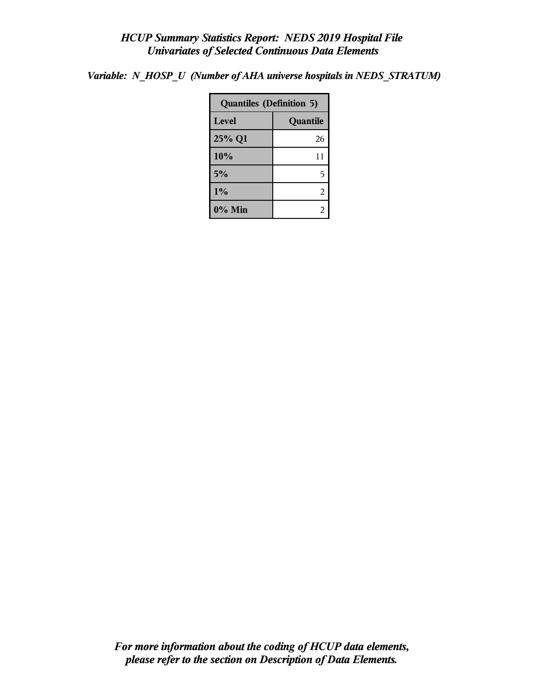*Variable: N\_HOSP\_U (Number of AHA universe hospitals in NEDS\_STRATUM)*

| <b>Quantiles (Definition 5)</b> |          |  |
|---------------------------------|----------|--|
| Level                           | Quantile |  |
| 25% Q1                          | 26       |  |
| 10%                             | 11       |  |
| 5%                              | 5        |  |
| 1%                              | 2        |  |
| $0\%$ Min                       | 2        |  |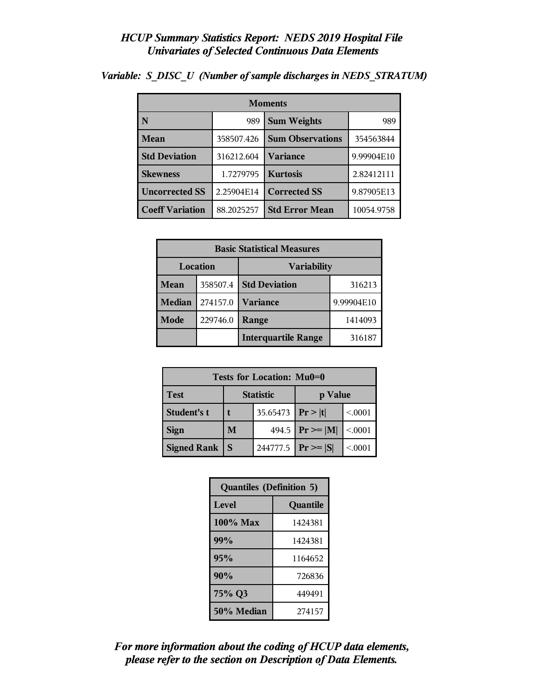| <b>Moments</b>         |            |                         |            |  |
|------------------------|------------|-------------------------|------------|--|
| N                      | 989        | <b>Sum Weights</b>      | 989        |  |
| Mean                   | 358507.426 | <b>Sum Observations</b> | 354563844  |  |
| <b>Std Deviation</b>   | 316212.604 | Variance                | 9.99904E10 |  |
| <b>Skewness</b>        | 1.7279795  | <b>Kurtosis</b>         | 2.82412111 |  |
| <b>Uncorrected SS</b>  | 2.25904E14 | <b>Corrected SS</b>     | 9.87905E13 |  |
| <b>Coeff Variation</b> | 88.2025257 | <b>Std Error Mean</b>   | 10054.9758 |  |

*Variable: S\_DISC\_U (Number of sample discharges in NEDS\_STRATUM)*

| <b>Basic Statistical Measures</b> |          |                            |            |  |  |
|-----------------------------------|----------|----------------------------|------------|--|--|
| Location<br><b>Variability</b>    |          |                            |            |  |  |
| Mean                              | 358507.4 | <b>Std Deviation</b>       | 316213     |  |  |
| Median                            | 274157.0 | <b>Variance</b>            | 9.99904E10 |  |  |
| <b>Mode</b>                       | 229746.0 | Range                      | 1414093    |  |  |
|                                   |          | <b>Interquartile Range</b> | 316187     |  |  |

| Tests for Location: Mu0=0 |                             |          |                     |          |  |  |
|---------------------------|-----------------------------|----------|---------------------|----------|--|--|
| <b>Test</b>               | <b>Statistic</b><br>p Value |          |                     |          |  |  |
| <b>Student's t</b>        | 35.65473   $Pr >  t $       |          |                     | < 0.001  |  |  |
| <b>Sign</b>               | M                           |          | 494.5 $ Pr \ge  M $ | < .0001  |  |  |
| <b>Signed Rank</b>        | S                           | 244777.5 | $ Pr \ge  S $       | < 0.0001 |  |  |

| <b>Quantiles (Definition 5)</b> |          |  |  |
|---------------------------------|----------|--|--|
| <b>Level</b>                    | Quantile |  |  |
| 100% Max                        | 1424381  |  |  |
| 99%                             | 1424381  |  |  |
| 95%                             | 1164652  |  |  |
| 90%                             | 726836   |  |  |
| 75% Q3                          | 449491   |  |  |
| 50% Median                      | 274157   |  |  |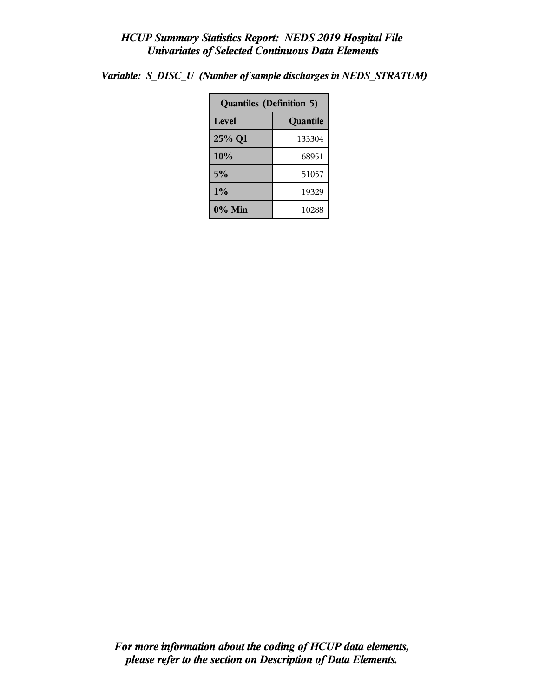| <b>Quantiles (Definition 5)</b> |          |  |  |
|---------------------------------|----------|--|--|
| Level                           | Quantile |  |  |
| 25% Q1                          | 133304   |  |  |
| 10%                             | 68951    |  |  |
| 5%                              | 51057    |  |  |
| 1%                              | 19329    |  |  |
| 0% Min                          | 10288    |  |  |

*Variable: S\_DISC\_U (Number of sample discharges in NEDS\_STRATUM)*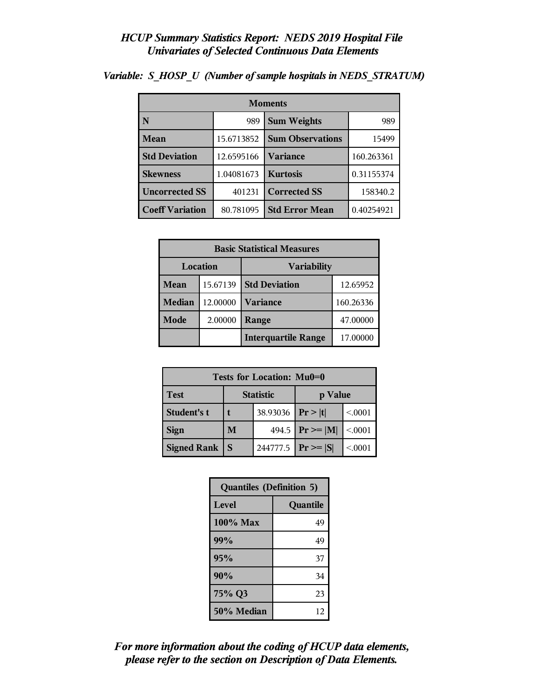| <b>Moments</b>         |            |                         |            |  |  |
|------------------------|------------|-------------------------|------------|--|--|
| N                      | 989        | <b>Sum Weights</b>      | 989        |  |  |
| Mean                   | 15.6713852 | <b>Sum Observations</b> | 15499      |  |  |
| <b>Std Deviation</b>   | 12.6595166 | <b>Variance</b>         | 160.263361 |  |  |
| <b>Skewness</b>        | 1.04081673 | <b>Kurtosis</b>         | 0.31155374 |  |  |
| <b>Uncorrected SS</b>  | 401231     | <b>Corrected SS</b>     | 158340.2   |  |  |
| <b>Coeff Variation</b> | 80.781095  | <b>Std Error Mean</b>   | 0.40254921 |  |  |

*Variable: S\_HOSP\_U (Number of sample hospitals in NEDS\_STRATUM)*

| <b>Basic Statistical Measures</b> |          |                            |           |  |  |
|-----------------------------------|----------|----------------------------|-----------|--|--|
| Location<br><b>Variability</b>    |          |                            |           |  |  |
| Mean                              | 15.67139 | <b>Std Deviation</b>       | 12.65952  |  |  |
| <b>Median</b>                     | 12.00000 | <b>Variance</b>            | 160.26336 |  |  |
| <b>Mode</b>                       | 2.00000  | Range                      | 47.00000  |  |  |
|                                   |          | <b>Interquartile Range</b> | 17.00000  |  |  |

| Tests for Location: Mu0=0 |                             |          |                      |         |  |  |
|---------------------------|-----------------------------|----------|----------------------|---------|--|--|
| <b>Test</b>               | <b>Statistic</b><br>p Value |          |                      |         |  |  |
| Student's t               | 38.93036                    |          | Pr> t                | < 0001  |  |  |
| <b>Sign</b>               | M                           |          | 494.5   $Pr \ge  M $ | < 0.001 |  |  |
| <b>Signed Rank</b>        | S                           | 244777.5 | $ Pr \ge  S $        | < 0.001 |  |  |

| <b>Quantiles (Definition 5)</b> |          |  |  |  |
|---------------------------------|----------|--|--|--|
| <b>Level</b>                    | Quantile |  |  |  |
| $100\%$ Max                     | 49       |  |  |  |
| 99%                             | 49       |  |  |  |
| 95%                             | 37       |  |  |  |
| 90%                             | 34       |  |  |  |
| 75% Q3                          | 23       |  |  |  |
| 50% Median                      | 12       |  |  |  |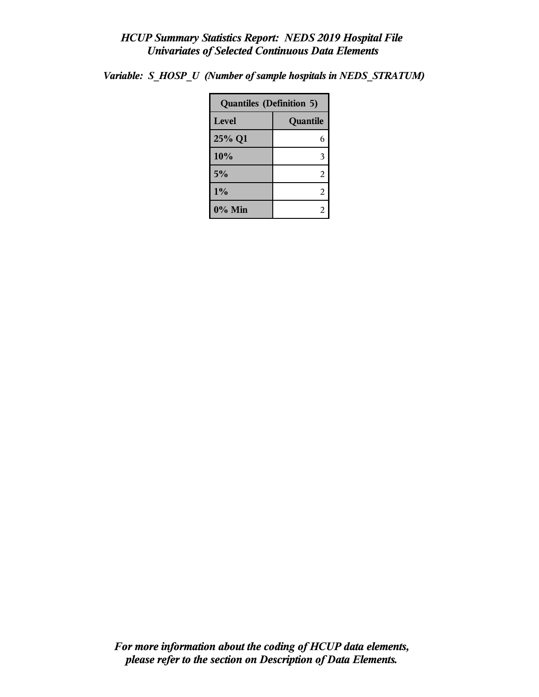| <b>Quantiles (Definition 5)</b> |          |  |
|---------------------------------|----------|--|
| Level                           | Quantile |  |
| 25% Q1                          | 6        |  |
| 10%                             | 3        |  |
| 5%                              | 2        |  |
| 1%                              | 2        |  |
| 0% Min                          | 2        |  |

*Variable: S\_HOSP\_U (Number of sample hospitals in NEDS\_STRATUM)*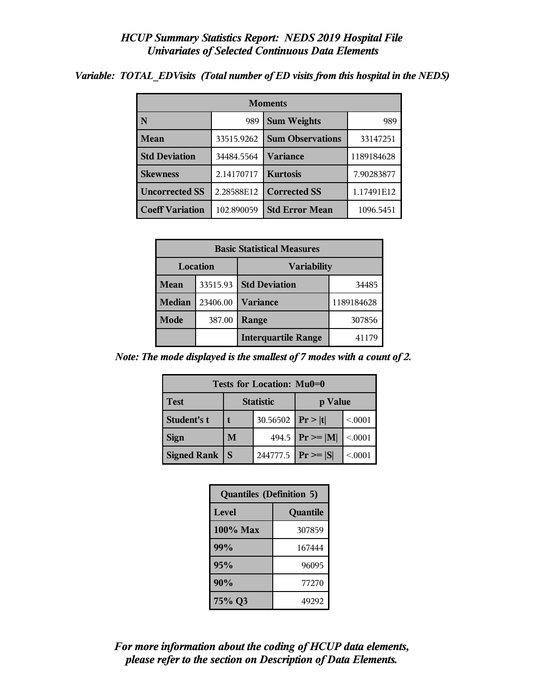| <b>Moments</b>                      |            |                         |            |  |  |
|-------------------------------------|------------|-------------------------|------------|--|--|
| N                                   | 989        | <b>Sum Weights</b>      | 989        |  |  |
| <b>Mean</b>                         | 33515.9262 | <b>Sum Observations</b> | 33147251   |  |  |
| <b>Std Deviation</b>                | 34484.5564 | Variance                | 1189184628 |  |  |
| <b>Skewness</b>                     | 2.14170717 | <b>Kurtosis</b>         | 7.90283877 |  |  |
| <b>Uncorrected SS</b><br>2.28588E12 |            | <b>Corrected SS</b>     | 1.17491E12 |  |  |
| <b>Coeff Variation</b>              | 102.890059 | <b>Std Error Mean</b>   | 1096.5451  |  |  |

*Variable: TOTAL\_EDVisits (Total number of ED visits from this hospital in the NEDS)*

| <b>Basic Statistical Measures</b> |          |                            |            |  |  |
|-----------------------------------|----------|----------------------------|------------|--|--|
| Location<br><b>Variability</b>    |          |                            |            |  |  |
| Mean                              | 33515.93 | <b>Std Deviation</b>       | 34485      |  |  |
| <b>Median</b>                     | 23406.00 | <b>Variance</b>            | 1189184628 |  |  |
| Mode                              | 387.00   | Range                      | 307856     |  |  |
|                                   |          | <b>Interquartile Range</b> | 41179      |  |  |

*Note: The mode displayed is the smallest of 7 modes with a count of 2.*

| Tests for Location: Mu0=0                  |                    |  |                         |         |  |  |
|--------------------------------------------|--------------------|--|-------------------------|---------|--|--|
| <b>Statistic</b><br><b>Test</b><br>p Value |                    |  |                         |         |  |  |
| Student's t                                | 30.56502 $ Pr> t $ |  |                         | < 0001  |  |  |
| <b>Sign</b>                                | M                  |  | 494.5 $ Pr \ge  M $     | < 0.001 |  |  |
| <b>Signed Rank</b>                         | <sub>S</sub>       |  | 244777.5   $Pr \ge  S $ | < 0.001 |  |  |

| <b>Quantiles (Definition 5)</b> |          |
|---------------------------------|----------|
| Level                           | Quantile |
| $100\%$ Max                     | 307859   |
| 99%                             | 167444   |
| 95%                             | 96095    |
| 90%                             | 77270    |
| 75% Q3                          | 49292    |